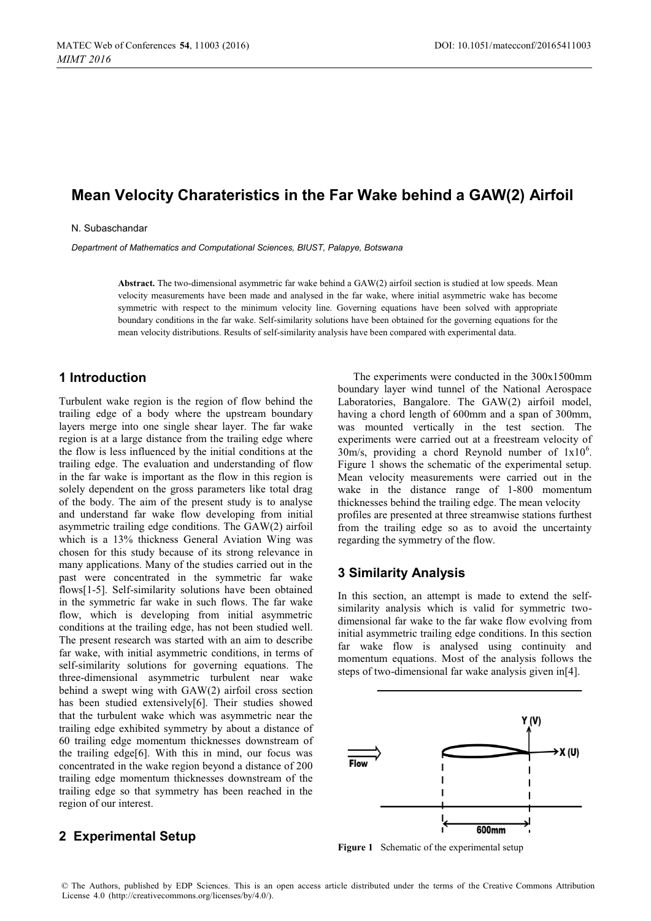# **Mean Velocity Charateristics in the Far Wake behind a GAW(2) Airfoil**

#### N. Subaschandar

*Department of Mathematics and Computational Sciences, BIUST, Palapye, Botswana* 

**Abstract.** The two-dimensional asymmetric far wake behind a GAW(2) airfoil section is studied at low speeds. Mean velocity measurements have been made and analysed in the far wake, where initial asymmetric wake has become symmetric with respect to the minimum velocity line. Governing equations have been solved with appropriate boundary conditions in the far wake. Self-similarity solutions have been obtained for the governing equations for the mean velocity distributions. Results of self-similarity analysis have been compared with experimental data.

# **1 Introduction**

Turbulent wake region is the region of flow behind the trailing edge of a body where the upstream boundary layers merge into one single shear layer. The far wake region is at a large distance from the trailing edge where the flow is less influenced by the initial conditions at the trailing edge. The evaluation and understanding of flow in the far wake is important as the flow in this region is solely dependent on the gross parameters like total drag of the body. The aim of the present study is to analyse and understand far wake flow developing from initial asymmetric trailing edge conditions. The GAW(2) airfoil which is a 13% thickness General Aviation Wing was chosen for this study because of its strong relevance in many applications. Many of the studies carried out in the past were concentrated in the symmetric far wake flows[1-5]. Self-similarity solutions have been obtained in the symmetric far wake in such flows. The far wake flow, which is developing from initial asymmetric conditions at the trailing edge, has not been studied well. The present research was started with an aim to describe far wake, with initial asymmetric conditions, in terms of self-similarity solutions for governing equations. The three-dimensional asymmetric turbulent near wake behind a swept wing with GAW(2) airfoil cross section has been studied extensively[6]. Their studies showed that the turbulent wake which was asymmetric near the trailing edge exhibited symmetry by about a distance of 60 trailing edge momentum thicknesses downstream of the trailing edge[6]. With this in mind, our focus was concentrated in the wake region beyond a distance of 200 trailing edge momentum thicknesses downstream of the trailing edge so that symmetry has been reached in the region of our interest.

### **2 Experimental Setup**

The experiments were conducted in the 300x1500mm boundary layer wind tunnel of the National Aerospace Laboratories, Bangalore. The GAW(2) airfoil model, having a chord length of 600mm and a span of 300mm. was mounted vertically in the test section. The experiments were carried out at a freestream velocity of  $30$ m/s, providing a chord Reynold number of  $1x10^6$ . Figure 1 shows the schematic of the experimental setup. Mean velocity measurements were carried out in the wake in the distance range of 1-800 momentum thicknesses behind the trailing edge. The mean velocity profiles are presented at three streamwise stations furthest from the trailing edge so as to avoid the uncertainty regarding the symmetry of the flow.

### **3 Similarity Analysis**

In this section, an attempt is made to extend the selfsimilarity analysis which is valid for symmetric twodimensional far wake to the far wake flow evolving from initial asymmetric trailing edge conditions. In this section far wake flow is analysed using continuity and momentum equations. Most of the analysis follows the steps of two-dimensional far wake analysis given in[4].



**Figure 1** Schematic of the experimental setup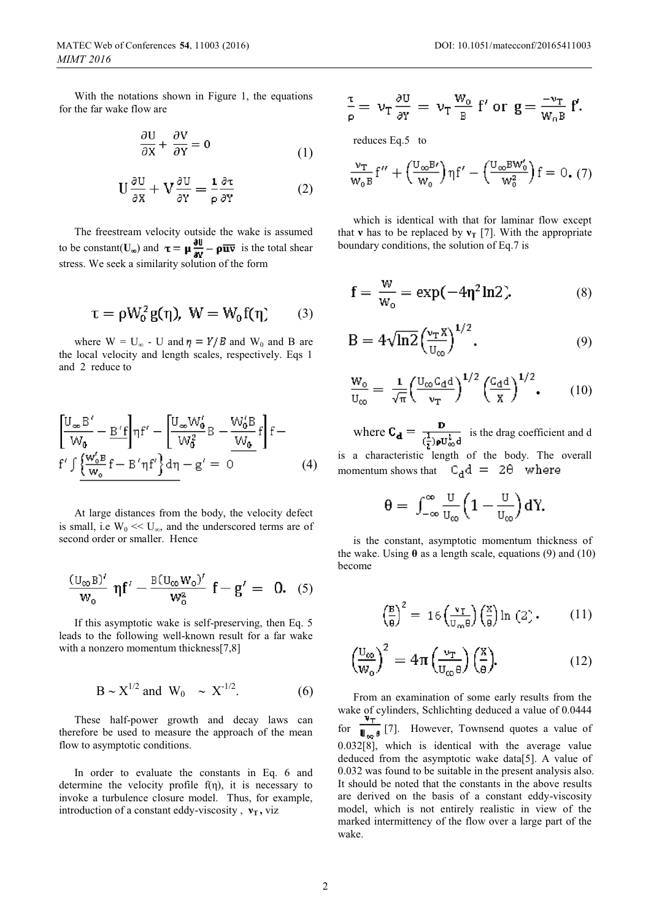With the notations shown in Figure 1, the equations for the far wake flow are

$$
\frac{\partial U}{\partial X} + \frac{\partial V}{\partial Y} = 0 \tag{1}
$$

$$
U\frac{\partial U}{\partial X} + V\frac{\partial U}{\partial Y} = \frac{1}{\rho}\frac{\partial \tau}{\partial Y}
$$
 (2)

The freestream velocity outside the wake is assumed to be constant( $U_{\infty}$ ) and  $\tau = \mu \frac{\partial u}{\partial V} - \rho \overline{u} \overline{v}$  is the total shear stress. We seek a similarity solution of the form

$$
\tau=\rho W_0^2\,g(\eta),\ W=W_0\,f(\eta)\qquad (3)
$$

where  $W = U_{\infty}$  - U and  $\eta = Y/B$  and W<sub>0</sub> and B are the local velocity and length scales, respectively. Eqs 1 and 2 reduce to

$$
\left[\frac{U_{\infty}B'}{W_0} - \frac{B'f}{H}f'\right] - \left[\frac{U_{\infty}W_0'}{W_0^2}B - \frac{W_0'B}{W_0}f\right]f - \frac{F'f}{W_0'}f' + \frac{W_0'B}{W_0}f - \frac{B'f}{W_0'}f' + \frac{W_0'B}{W_0}f' + \frac{B'f}{W_0'}f' + \frac{B'f}{W_0'}f' + \frac{B'f}{W_0'}f' + \frac{B'f}{W_0'}f' + \frac{B'f}{W_0'}f' + \frac{B'f}{W_0'}f' + \frac{B'f}{W_0'}f' + \frac{B'f}{W_0'}f' + \frac{B'f}{W_0'}f' + \frac{B'f}{W_0'}f' + \frac{B'f}{W_0'}f' + \frac{B'f}{W_0'}f' + \frac{B'f}{W_0'}f' + \frac{B'f}{W_0'}f' + \frac{B'f}{W_0'}f' + \frac{B'f}{W_0'}f' + \frac{B'f}{W_0'}f' + \frac{B'f}{W_0'}f' + \frac{B'f}{W_0'}f' + \frac{B'f}{W_0'}f' + \frac{B'f}{W_0'}f' + \frac{B'f}{W_0'}f' + \frac{B'f}{W_0'}f' + \frac{B'f}{W_0'}f' + \frac{B'f}{W_0'}f' + \frac{B'f}{W_0'}f' + \frac{B'f}{W_0'}f' + \frac{B'f}{W_0'}f' + \frac{B'f}{W_0'}f' + \frac{B'f}{W_0'}f' + \frac{B'f}{W_0'}f' + \frac{B'f}{W_0'}f' + \frac{B'f}{W_0'}f' + \frac{B'f}{W_0'}f' + \frac{B'f}{W_0'}f' + \frac{B'f}{W_0'}f' + \frac{B'f}{W_0'}f' + \frac{B'f}{W_0'}f' + \frac{B'f}{W_0'}f' + \frac{B'f}{W_0'}f' + \frac{B'f}{W_0'}f' + \frac{B'f}{W_0'}f' + \frac{B'f}{W_0'}f' + \frac{B'f}{W_0'}f' + \frac{B'f}{W_0'}f
$$

At large distances from the body, the velocity defect is small, i.e  $W_0 \ll U_{\infty}$ , and the underscored terms are of second order or smaller. Hence

$$
\frac{(U_{\infty}B)^{\prime}}{W_0} \eta f^{\prime} - \frac{B(U_{\infty}W_0)^{\prime}}{W_0^2} f - g^{\prime} = 0. \quad (5)
$$

If this asymptotic wake is self-preserving, then Eq. 5 leads to the following well-known result for a far wake with a nonzero momentum thickness[7,8]

$$
B \sim X^{1/2}
$$
 and  $W_0 \sim X^{-1/2}$ . (6)

These half-power growth and decay laws can therefore be used to measure the approach of the mean flow to asymptotic conditions.

In order to evaluate the constants in Eq. 6 and determine the velocity profile  $f(\eta)$ , it is necessary to invoke a turbulence closure model. Thus, for example, introduction of a constant eddy-viscosity,  $v_T$ , viz

$$
\frac{\tau}{\rho} = \nu_T \frac{\partial U}{\partial Y} = \nu_T \frac{W_o}{B} \ f' \text{ or } g = \frac{-\nu_T}{W_o B} \ f'.
$$

reduces Eq.5 to

$$
\frac{\nu_{\rm T}}{W_0 B} f'' + \left(\frac{U_{\infty} B'}{W_0}\right) \eta f' - \left(\frac{U_{\infty} B W'_0}{W_0^2}\right) f = 0. (7)
$$

which is identical with that for laminar flow except that **v** has to be replaced by  $\mathbf{v}_T$  [7]. With the appropriate boundary conditions, the solution of Eq.7 is

$$
f = \frac{w}{w_o} = \exp(-4\eta^2 \ln 2). \tag{8}
$$

$$
B = 4\sqrt{\ln 2} \left(\frac{\nu_{\rm T} x}{U_{\infty}}\right)^{1/2}.
$$
 (9)

$$
\frac{W_0}{U_{\infty}} = \frac{1}{\sqrt{\pi}} \left(\frac{U_{\infty} C_{\rm d} d}{v_{\rm T}}\right)^{1/2} \left(\frac{C_{\rm d} d}{X}\right)^{1/2},\qquad(10)
$$

where  $C_{\mathbf{d}} = \frac{\mathbf{D}}{(\frac{1}{2})\mathbf{p}\mathbf{U}_{\infty}^{\mathbf{1}}}$  is the drag coefficient and d

is a characteristic length of the body. The overall momentum shows that  $C_d d = 2\theta$  where

$$
\theta = \int_{-\infty}^{\infty} \frac{U}{U_{\infty}} \left(1 - \frac{U}{U_{\infty}}\right) dY.
$$

is the constant, asymptotic momentum thickness of the wake. Using  $\theta$  as a length scale, equations (9) and (10) become

$$
\left(\frac{\mathbf{B}}{\mathbf{B}}\right)^2 = 16 \left(\frac{\mathbf{v}_\mathbf{I}}{\mathbf{u}_\infty \mathbf{B}}\right) \left(\frac{\mathbf{X}}{\mathbf{B}}\right) \ln\left(2\right). \tag{11}
$$

$$
\left(\frac{\mathbf{U}_{\infty}}{\mathbf{W}_{\mathbf{0}}}\right)^2 = 4\pi \left(\frac{\mathbf{v}_{\mathrm{T}}}{\mathbf{U}_{\infty}\theta}\right) \left(\frac{\mathbf{X}}{\theta}\right). \tag{12}
$$

From an examination of some early results from the wake of cylinders, Schlichting deduced a value of 0.0444 for  $\frac{1}{\| \cdot \| \cdot \|}$  [7]. However, Townsend quotes a value of 0.032[8], which is identical with the average value deduced from the asymptotic wake data[5]. A value of 0.032 was found to be suitable in the present analysis also. It should be noted that the constants in the above results are derived on the basis of a constant eddy-viscosity model, which is not entirely realistic in view of the marked intermittency of the flow over a large part of the wake.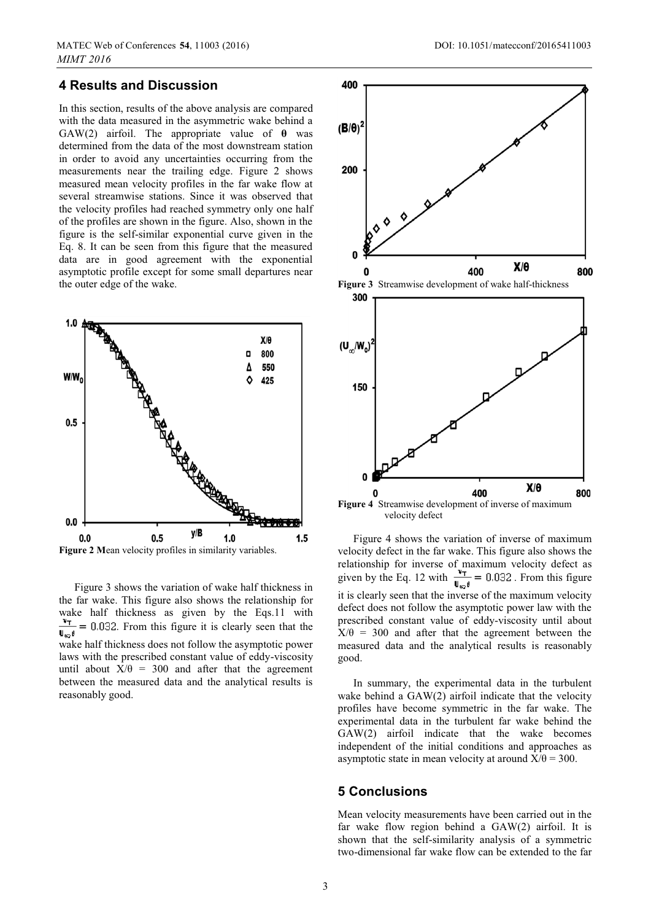# **4 Results and Discussion**

In this section, results of the above analysis are compared with the data measured in the asymmetric wake behind a GAW(2) airfoil. The appropriate value of **θ** was determined from the data of the most downstream station in order to avoid any uncertainties occurring from the measurements near the trailing edge. Figure 2 shows measured mean velocity profiles in the far wake flow at several streamwise stations. Since it was observed that the velocity profiles had reached symmetry only one half of the profiles are shown in the figure. Also, shown in the figure is the self-similar exponential curve given in the Eq. 8. It can be seen from this figure that the measured data are in good agreement with the exponential asymptotic profile except for some small departures near the outer edge of the wake.



Figure 3 shows the variation of wake half thickness in the far wake. This figure also shows the relationship for wake half thickness as given by the Eqs.11 with  $\frac{\Psi_{\tau}}{\sigma_{\alpha}}$  = 0.032. From this figure it is clearly seen that the  $\mathbf{U}_{\infty} \boldsymbol{\theta}$ wake half thickness does not follow the asymptotic power laws with the prescribed constant value of eddy-viscosity until about  $X/\theta = 300$  and after that the agreement between the measured data and the analytical results is reasonably good.



**Figure 4** Streamwise development of inverse of maximum velocity defect

Figure 4 shows the variation of inverse of maximum velocity defect in the far wake. This figure also shows the relationship for inverse of maximum velocity defect as given by the Eq. 12 with  $\frac{1}{\ln a} = 0.032$ . From this figure it is clearly seen that the inverse of the maximum velocity defect does not follow the asymptotic power law with the prescribed constant value of eddy-viscosity until about  $X/\theta = 300$  and after that the agreement between the measured data and the analytical results is reasonably good.

In summary, the experimental data in the turbulent wake behind a GAW(2) airfoil indicate that the velocity profiles have become symmetric in the far wake. The experimental data in the turbulent far wake behind the GAW(2) airfoil indicate that the wake becomes independent of the initial conditions and approaches as asymptotic state in mean velocity at around  $X/\theta = 300$ .

#### **5 Conclusions**

Mean velocity measurements have been carried out in the far wake flow region behind a GAW(2) airfoil. It is shown that the self-similarity analysis of a symmetric two-dimensional far wake flow can be extended to the far